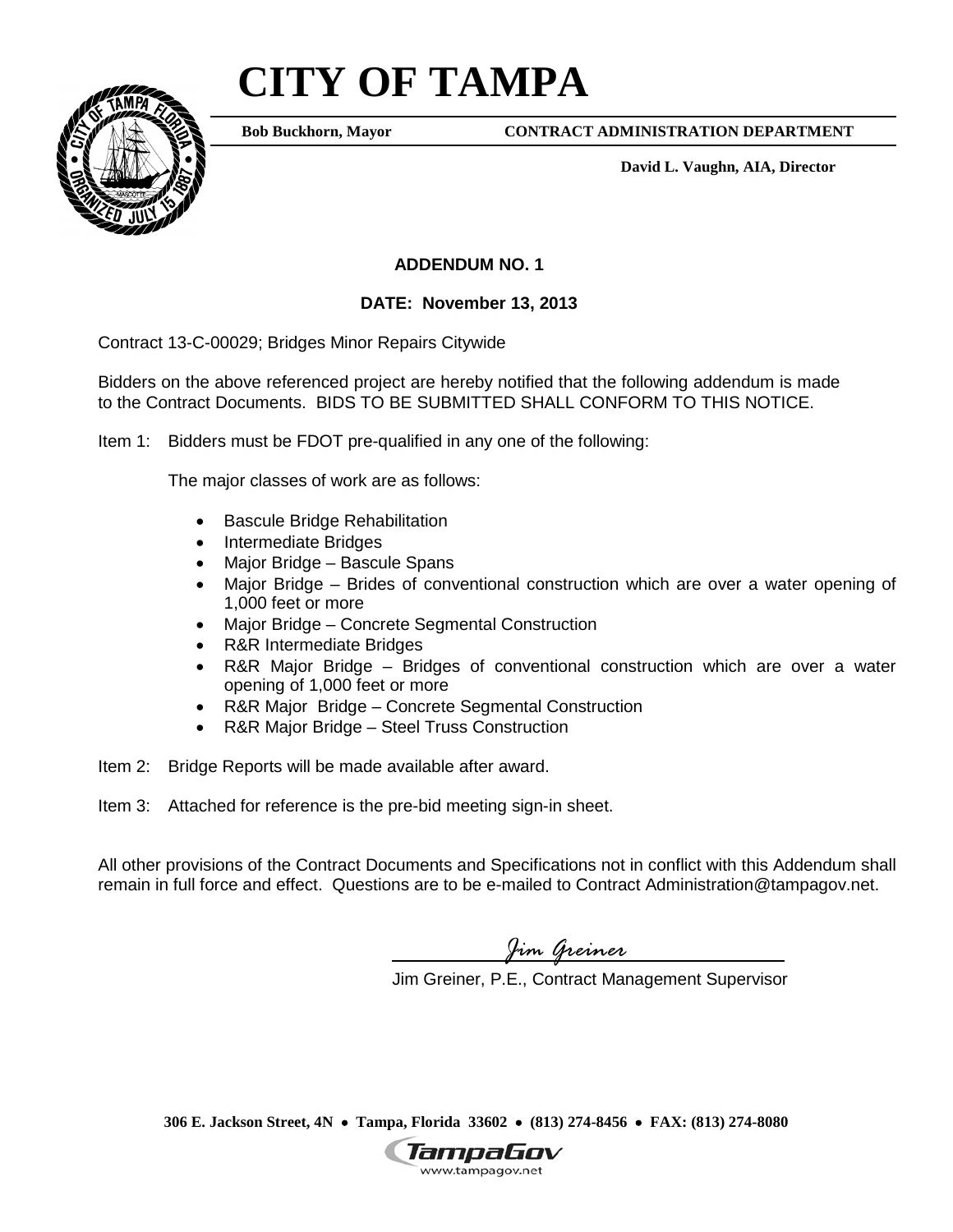## **CITY OF TAMPA**



**Bob Buckhorn, Mayor**

**CONTRACT ADMINISTRATION DEPARTMENT**

**David L. Vaughn, AIA, Director**

## **ADDENDUM NO. 1**

## **DATE: November 13, 2013**

Contract 13-C-00029; Bridges Minor Repairs Citywide

Bidders on the above referenced project are hereby notified that the following addendum is made to the Contract Documents. BIDS TO BE SUBMITTED SHALL CONFORM TO THIS NOTICE.

Item 1: Bidders must be FDOT pre-qualified in any one of the following:

The major classes of work are as follows:

- Bascule Bridge Rehabilitation
- Intermediate Bridges
- Major Bridge Bascule Spans
- Major Bridge Brides of conventional construction which are over a water opening of 1,000 feet or more
- Major Bridge Concrete Segmental Construction
- R&R Intermediate Bridges
- R&R Major Bridge Bridges of conventional construction which are over a water opening of 1,000 feet or more
- R&R Major Bridge Concrete Segmental Construction
- R&R Major Bridge Steel Truss Construction
- Item 2: Bridge Reports will be made available after award.
- Item 3: Attached for reference is the pre-bid meeting sign-in sheet.

All other provisions of the Contract Documents and Specifications not in conflict with this Addendum shall remain in full force and effect. Questions are to be e-mailed to Contract Administration@tampagov.net.

*Jim Greiner*

Jim Greiner, P.E., Contract Management Supervisor

**306 E. Jackson Street, 4N** • **Tampa, Florida 33602** • **(813) 274-8456** • **FAX: (813) 274-8080**